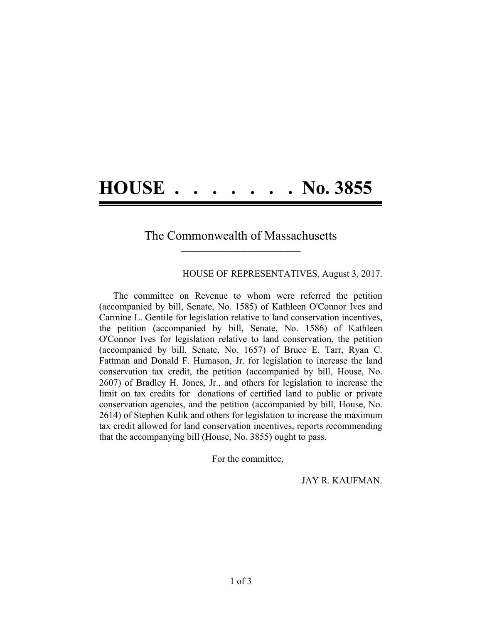## **HOUSE . . . . . . . No. 3855**

## The Commonwealth of Massachusetts  $\mathcal{L} = \{ \mathcal{L} \}$

HOUSE OF REPRESENTATIVES, August 3, 2017.

The committee on Revenue to whom were referred the petition (accompanied by bill, Senate, No. 1585) of Kathleen O'Connor Ives and Carmine L. Gentile for legislation relative to land conservation incentives, the petition (accompanied by bill, Senate, No. 1586) of Kathleen O'Connor Ives for legislation relative to land conservation, the petition (accompanied by bill, Senate, No. 1657) of Bruce E. Tarr, Ryan C. Fattman and Donald F. Humason, Jr. for legislation to increase the land conservation tax credit, the petition (accompanied by bill, House, No. 2607) of Bradley H. Jones, Jr., and others for legislation to increase the limit on tax credits for donations of certified land to public or private conservation agencies, and the petition (accompanied by bill, House, No. 2614) of Stephen Kulik and others for legislation to increase the maximum tax credit allowed for land conservation incentives, reports recommending that the accompanying bill (House, No. 3855) ought to pass.

For the committee,

JAY R. KAUFMAN.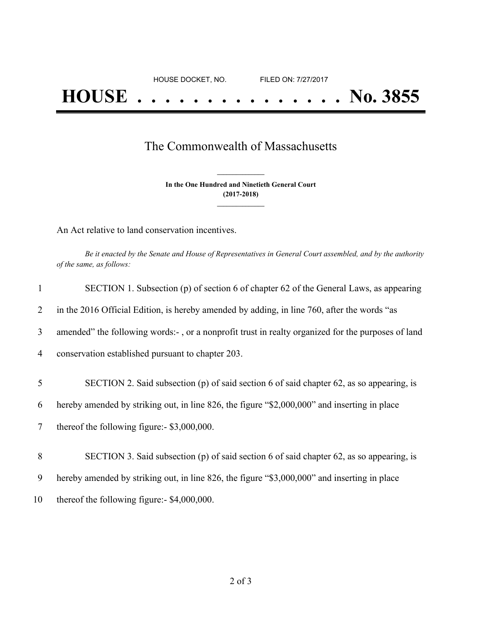## The Commonwealth of Massachusetts

**In the One Hundred and Ninetieth General Court (2017-2018) \_\_\_\_\_\_\_\_\_\_\_\_\_\_\_**

**\_\_\_\_\_\_\_\_\_\_\_\_\_\_\_**

An Act relative to land conservation incentives.

Be it enacted by the Senate and House of Representatives in General Court assembled, and by the authority *of the same, as follows:*

| 1  | SECTION 1. Subsection (p) of section 6 of chapter 62 of the General Laws, as appearing            |
|----|---------------------------------------------------------------------------------------------------|
| 2  | in the 2016 Official Edition, is hereby amended by adding, in line 760, after the words "as       |
| 3  | amended" the following words:-, or a nonprofit trust in realty organized for the purposes of land |
| 4  | conservation established pursuant to chapter 203.                                                 |
| 5  | SECTION 2. Said subsection (p) of said section 6 of said chapter 62, as so appearing, is          |
|    |                                                                                                   |
| 6  | hereby amended by striking out, in line 826, the figure "\$2,000,000" and inserting in place      |
| 7  | thereof the following figure:- \$3,000,000.                                                       |
|    |                                                                                                   |
| 8  | SECTION 3. Said subsection (p) of said section 6 of said chapter 62, as so appearing, is          |
| 9  | hereby amended by striking out, in line 826, the figure "\$3,000,000" and inserting in place      |
| 10 | thereof the following figure:- $$4,000,000$ .                                                     |